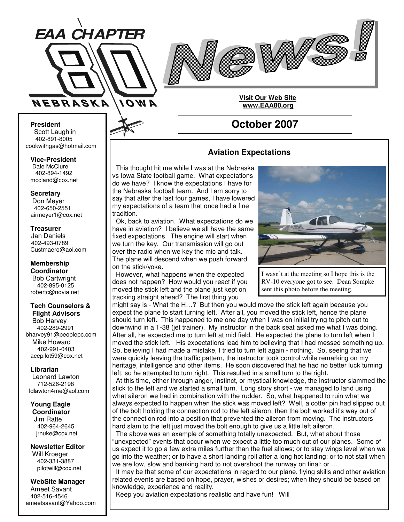



**October 2007**

**Visit Our Web Site www.EAA80.org**

**President** Scott Laughlin 402-891-8005 cookwithgas@hotmail.com

**Vice-President** Dale McClure 402-894-1492 mccland@cox.net

**Secretary**

Don Meyer 402-650-2551 airmeyer1@cox.net

# **Treasurer**

Jan Daniels 402-493-0789 Custmaero@aol.com

**Membership Coordinator** Bob Cartwright 402-895-0125 robertc@novia.net

#### **Tech Counselors & Flight Advisors**

Bob Harvey 402-289-2991 bharvey91@peoplepc.com Mike Howard 402-991-0403 acepilot59@cox.net

## **Librarian**

Leonard Lawton 712-526-2198 ldlawton4me@aol.com

# **Young Eagle**

**Coordinator** Jim Ratte 402-964-2645 jrnuke@cox.net

**Newsletter Editor** Will Kroeger 402-331-3887 pilotwill@cox.net

**WebSite Manager** Ameet Savant 402-516-4546 ameetsavant@Yahoo.com

# **Aviation Expectations**

This thought hit me while I was at the Nebraska vs Iowa State football game. What expectations do we have? I know the expectations I have for the Nebraska football team. And I am sorry to say that after the last four games, I have lowered my expectations of a team that once had a fine tradition.

Ok, back to aviation. What expectations do we have in aviation? I believe we all have the same fixed expectations. The engine will start when we turn the key. Our transmission will go out over the radio when we key the mic and talk. The plane will descend when we push forward on the stick/yoke.

However, what happens when the expected does not happen? How would you react if you moved the stick left and the plane just kept on tracking straight ahead? The first thing you



I wasn't at the meeting so I hope this is the RV-10 everyone got to see. Dean Sompke sent this photo before the meeting.

might say is - What the H…? But then you would move the stick left again because you expect the plane to start turning left. After all, you moved the stick left, hence the plane should turn left. This happened to me one day when I was on initial trying to pitch out to downwind in a T-38 (jet trainer). My instructor in the back seat asked me what I was doing. After all, he expected me to turn left at mid field. He expected the plane to turn left when I moved the stick left. His expectations lead him to believing that I had messed something up. So, believing I had made a mistake, I tried to turn left again - nothing. So, seeing that we were quickly leaving the traffic pattern, the instructor took control while remarking on my heritage, intelligence and other items. He soon discovered that he had no better luck turning left, so he attempted to turn right. This resulted in a small turn to the right.

At this time, either through anger, instinct, or mystical knowledge, the instructor slammed the stick to the left and we started a small turn. Long story short - we managed to land using what aileron we had in combination with the rudder. So, what happened to ruin what we always expected to happen when the stick was moved left? Well, a cotter pin had slipped out of the bolt holding the connection rod to the left aileron, then the bolt worked it's way out of the connection rod into a position that prevented the aileron from moving. The instructors hard slam to the left just moved the bolt enough to give us a little left aileron.

The above was an example of something totally unexpected. But, what about those "unexpected" events that occur when we expect a little too much out of our planes. Some of us expect it to go a few extra miles further than the fuel allows; or to stay wings level when we go into the weather; or to have a short landing roll after a long hot landing; or to not stall when we are low, slow and banking hard to not overshoot the runway on final; or …

It may be that some of our expectations in regard to our plane, flying skills and other aviation related events are based on hope, prayer, wishes or desires; when they should be based on knowledge, experience and reality.

Keep you aviation expectations realistic and have fun! Will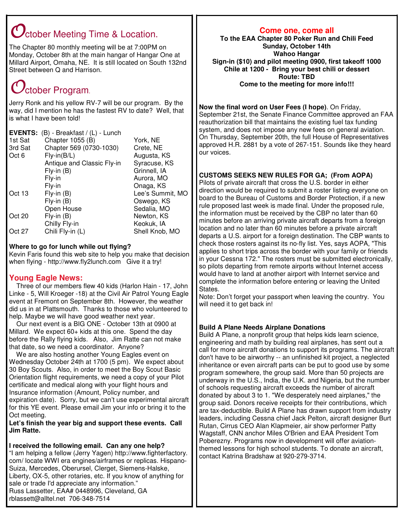# $\mathcal O$ ctober Meeting Time & Location.

The Chapter 80 monthly meeting will be at 7:00PM on Monday, October 8th at the main hangar of Hangar One at Millard Airport, Omaha, NE. It is still located on South 132nd Street between Q and Harrison.

# $\mathcal{O}_\text{ctober Program.}$

Jerry Ronk and his yellow RV-7 will be our program. By the way, did I mention he has the fastest RV to date? Well, that is what I have been told!

**EVENTS:** (B) - Breakfast / (L) - Lunch

| Chapter 1055 (B)           | York, NE         |
|----------------------------|------------------|
| Chapter 569 (0730-1030)    | Crete, NE        |
| $Fly-in(B/L)$              | Augusta, KS      |
| Antique and Classic Fly-in | Syracuse, KS     |
| $Fly-in(B)$                | Grinnell, IA     |
| Fly-in                     | Aurora, MO       |
| Fly-in                     | Onaga, KS        |
| $Fly-in(B)$                | Lee's Summit, MO |
| $Fly-in(B)$                | Oswego, KS       |
| Open House                 | Sedalia, MO      |
| $Fly-in(B)$                | Newton, KS       |
| Chilly Fly-in              | Keokuk, IA       |
| Chili Fly-in (L)           | Shell Knob, MO   |
|                            |                  |

# **Where to go for lunch while out flying?**

Kevin Faris found this web site to help you make that decision when flying - http://www.fly2lunch.com Give it a try!

# **Young Eagle News:**

Three of our members flew 40 kids (Harlon Hain - 17, John Linke - 5, Will Kroeger -18) at the Civil Air Patrol Young Eagle event at Fremont on September 8th. However, the weather did us in at Plattsmouth. Thanks to those who volunteered to help. Maybe we will have good weather next year.

Our next event is a BIG ONE - October 13th at 0900 at Millard. We expect 60+ kids at this one. Spend the day before the Rally flying kids. Also, Jim Ratte can not make that date, so we need a coordinator. Anyone?

We are also hosting another Young Eagles event on Wednesday October 24th at 1700 (5 pm). We expect about 30 Boy Scouts. Also, in order to meet the Boy Scout Basic Orientation flight requirements, we need a copy of your Pilot certificate and medical along with your flight hours and Insurance information (Amount, Policy number, and expiration date). Sorry, but we can't use experimental aircraft for this YE event. Please email Jim your info or bring it to the Oct meeting.

**Let's finish the year big and support these events. Call Jim Ratte.**

# **I received the following email. Can any one help?**

"I am helping a fellow (Jerry Yagen) http://www.fighterfactory. com/ locate WWI era engines/airframes or replicas. Hispano-Suiza, Mercedes, Oberursel, Clerget, Siemens-Halske, Liberty, OX-5, other rotaries, etc. If you know of anything for sale or trade I'd appreciate any information." Russ Lassetter, EAA# 0448996, Cleveland, GA rblassett@alltel.net 706-348-7514

# **Come one, come all**

**To the EAA Chapter 80 Poker Run and Chili Feed Sunday, October 14th Wahoo Hangar Sign-in (\$10) and pilot meeting 0900, first takeoff 1000 Chile at 1200 - Bring your best chili or dessert Route: TBD Come to the meeting for more info!!!**

**Now the final word on User Fees (I hope)**. On Friday, September 21st, the Senate Finance Committee approved an FAA reauthorization bill that maintains the existing fuel tax funding system, and does not impose any new fees on general aviation. On Thursday, September 20th, the full House of Representatives approved H.R. 2881 by a vote of 267-151. Sounds like they heard our voices.

# **CUSTOMS SEEKS NEW RULES FOR GA; (From AOPA)**

Pilots of private aircraft that cross the U.S. border in either direction would be required to submit a roster listing everyone on board to the Bureau of Customs and Border Protection, if a new rule proposed last week is made final. Under the proposed rule, the information must be received by the CBP no later than 60 minutes before an arriving private aircraft departs from a foreign location and no later than 60 minutes before a private aircraft departs a U.S. airport for a foreign destination. The CBP wants to check those rosters against its no-fly list. Yes, says AOPA, "This applies to short trips across the border with your family or friends in your Cessna 172." The rosters must be submitted electronically, so pilots departing from remote airports without Internet access would have to land at another airport with Internet service and complete the information before entering or leaving the United States.

Note: Don't forget your passport when leaving the country. You will need it to get back in!

# **Build A Plane Needs Airplane Donations**

Build A Plane, a nonprofit group that helps kids learn science, engineering and math by building real airplanes, has sent out a call for more aircraft donations to support its programs. The aircraft don't have to be airworthy -- an unfinished kit project, a neglected inheritance or even aircraft parts can be put to good use by some program somewhere, the group said. More than 50 projects are underway in the U.S., India, the U.K. and Nigeria, but the number of schools requesting aircraft exceeds the number of aircraft donated by about 3 to 1. "We desperately need airplanes," the group said. Donors receive receipts for their contributions, which are tax-deductible. Build A Plane has drawn support from industry leaders, including Cessna chief Jack Pelton, aircraft designer Burt Rutan, Cirrus CEO Alan Klapmeier, air show performer Patty Wagstaff, CNN anchor Miles O'Brien and EAA President Tom Poberezny. Programs now in development will offer aviationthemed lessons for high school students. To donate an aircraft, contact Katrina Bradshaw at 920-279-3714.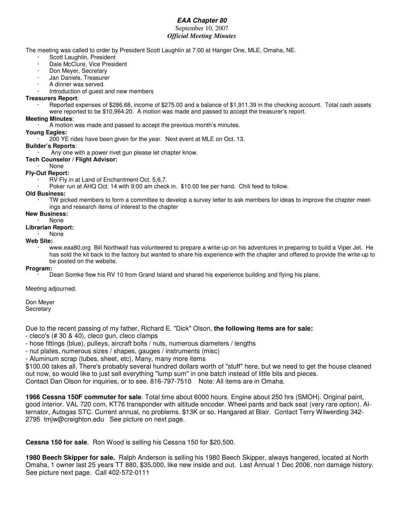# *EAA Chapter 80*

# September 10, 2007 *Official Meeting Minutes*

The meeting was called to order by President Scott Laughlin at 7:00 at Hanger One, MLE, Omaha, NE.

- Scott Laughlin, President
- · Dale McClure, Vice President
- · Don Meyer, Secretary
- Jan Daniels, Treasurer
- · A dinner was served.
- · Introduction of guest and new members

## **Treasurers Report**:

Reported expenses of \$286.68, income of \$275.00 and a balance of \$1,911.39 in the checking account. Total cash assets were reported to be \$10,964.20. A motion was made and passed to accept the treasurer's report.

## **Meeting Minutes**:

· A motion was made and passed to accept the previous month's minutes.

## **Young Eagles:**

· 200 YE rides have been given for the year. Next event at MLE on Oct. 13.

#### **Builder's Reports**:

Any one with a power rivet gun please let chapter know.

- **Tech Counselor / Flight Advisor:**
- · None
- **Fly-Out Report:**
	- · RV Fly in at Land of Enchantment Oct. 5,6,7.
	- Poker run at AHQ Oct. 14 with 9:00 am check in. \$10.00 fee per hand. Chili feed to follow.

## **Old Business:**

· TW picked members to form a committee to develop a survey letter to ask members for ideas to improve the chapter meetings and research items of interest to the chapter

## **New Business:**

· None

## **Librarian Report:**

#### · None **Web Site:**

· www.eaa80.org Bill Northwall has volunteered to prepare a write-up on his adventures in preparing to build a Viper Jet. He has sold the kit back to the factory but wanted to share his experience with the chapter and offered to provide the write-up to be posted on the website.

## **Program:**

· Dean Somke flew his RV 10 from Grand Island and shared his experience building and flying his plane.

Meeting adjourned.

Don Meyer **Secretary** 

Due to the recent passing of my father, Richard E. "Dick" Olson, **the following items are for sale:**

- cleco's (# 30 & 40), cleco gun, cleco clamps

- hose fittings (blue), pulleys, aircraft bolts / nuts, numerous diameters / lengths

- nut plates, numerous sizes / shapes, gauges / instruments (misc)

- Aluminum scrap (tubes, sheet, etc), Many, many more items

\$100.00 takes all. There's probably several hundred dollars worth of "stuff" here, but we need to get the house cleaned out now, so would like to just sell everything "lump sum" in one batch instead of little bits and pieces. Contact Dan Olson for inquiries, or to see. 816-797-7510 Note: All items are in Omaha.

**1966 Cessna 150F commuter for sale**. Total time about 6000 hours. Engine about 250 hrs (SMOH). Original paint, good interior. VAL 720 com, KT76 transponder with altitude encoder. Wheel pants and back seat (very rare option). Alternator, Autogas STC. Current annual, no problems. \$13K or so. Hangared at Blair. Contact Terry Wilwerding 342- 2795 tmjw@creighton.edu See picture on next page.

**Cessna 150 for sale**. Ron Wood is selling his Cessna 150 for \$20,500.

**1980 Beech Skipper for sale.** Ralph Anderson is selling his 1980 Beech Skipper, always hangered, located at North Omaha, 1 owner last 25 years TT 880, \$35,000, like new inside and out. Last Annual 1 Dec 2006, non damage history. See picture next page. Call 402-572-0111